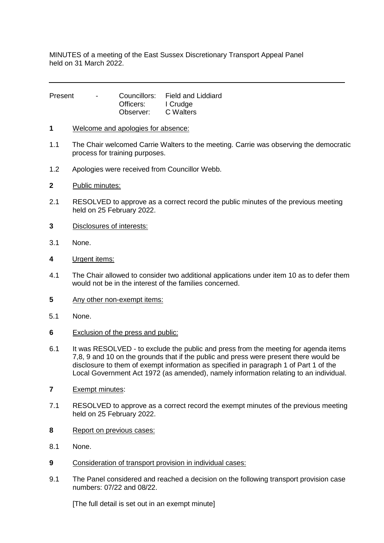MINUTES of a meeting of the East Sussex Discretionary Transport Appeal Panel held on 31 March 2022.

| Present | $\sim$ |           | Councillors: Field and Liddiard |
|---------|--------|-----------|---------------------------------|
|         |        | Officers: | I Crudge                        |
|         |        | Observer: | C Walters                       |

- **1** Welcome and apologies for absence:
- 1.1 The Chair welcomed Carrie Walters to the meeting. Carrie was observing the democratic process for training purposes.
- 1.2 Apologies were received from Councillor Webb.
- **2** Public minutes:
- 2.1 RESOLVED to approve as a correct record the public minutes of the previous meeting held on 25 February 2022.
- **3** Disclosures of interests:
- 3.1 None.
- **4** Urgent items:
- 4.1 The Chair allowed to consider two additional applications under item 10 as to defer them would not be in the interest of the families concerned.
- **5** Any other non-exempt items:
- 5.1 None.
- **6** Exclusion of the press and public:
- 6.1 It was RESOLVED to exclude the public and press from the meeting for agenda items 7,8, 9 and 10 on the grounds that if the public and press were present there would be disclosure to them of exempt information as specified in paragraph 1 of Part 1 of the Local Government Act 1972 (as amended), namely information relating to an individual.
- **7** Exempt minutes:
- 7.1 RESOLVED to approve as a correct record the exempt minutes of the previous meeting held on 25 February 2022.
- **8** Report on previous cases:
- 8.1 None.
- **9** Consideration of transport provision in individual cases:
- 9.1 The Panel considered and reached a decision on the following transport provision case numbers: 07/22 and 08/22.

[The full detail is set out in an exempt minute]